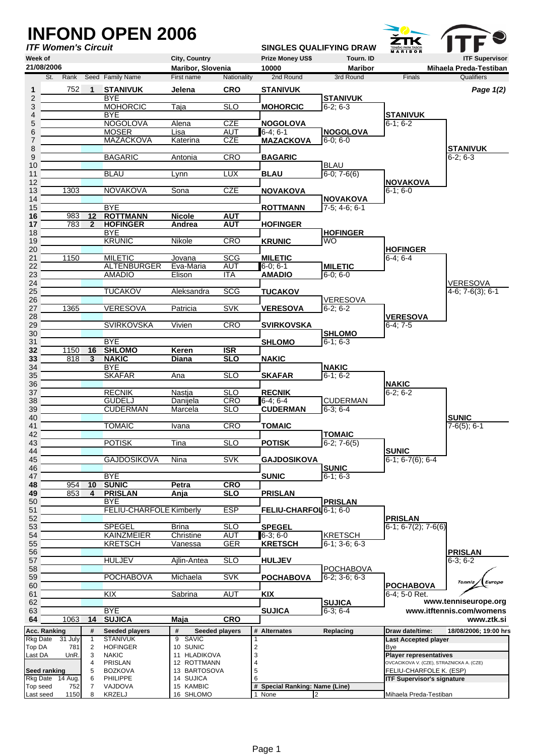|                                      |                     | <b>INFOND OPEN 2006</b>          |                          |                          |                 |                                     |                                     |                                               |                                           |
|--------------------------------------|---------------------|----------------------------------|--------------------------|--------------------------|-----------------|-------------------------------------|-------------------------------------|-----------------------------------------------|-------------------------------------------|
| <b>ITF Women's Circuit</b>           |                     |                                  |                          |                          |                 |                                     | <b>SINGLES QUALIFYING DRAW</b>      | TENIŠKI PARK TABOR<br><b>M A R I B O R</b>    |                                           |
| Week of                              |                     |                                  | City, Country            |                          |                 | <b>Prize Money US\$</b>             | Tourn. ID                           |                                               | <b>ITF Supervisor</b>                     |
| 21/08/2006                           |                     |                                  | Maribor, Slovenia        |                          |                 | 10000                               | <b>Maribor</b>                      |                                               | Mihaela Preda-Testiban                    |
| St.<br>Rank                          |                     | Seed Family Name                 | First name               | Nationality              |                 | 2nd Round                           | 3rd Round                           | Finals                                        | Qualifiers                                |
| 752<br>1                             | 1                   | <b>STANIVUK</b><br><b>BYE</b>    | Jelena                   | <b>CRO</b>               |                 | <b>STANIVUK</b>                     |                                     |                                               | Page 1(2)                                 |
| 2<br>3                               |                     | <b>MOHORCIC</b>                  | Taja                     | <b>SLO</b>               |                 | <b>MOHORCIC</b>                     | <b>STANIVUK</b><br>$6-2; 6-3$       |                                               |                                           |
| 4                                    |                     | <b>BYE</b>                       |                          |                          |                 |                                     |                                     | <b>STANIVUK</b>                               |                                           |
| 5                                    |                     | <b>NOGOLOVA</b><br><b>MOSER</b>  | Alena                    | <b>CZE</b>               |                 | <b>NOGOLOVA</b>                     |                                     | $6-1; 6-2$                                    |                                           |
| 6<br>7                               |                     | <b>MAZACKOVA</b>                 | Lisa<br>Katerina         | AUT<br><b>CZE</b>        |                 | 6-4: 6-1<br><b>MAZACKOVA</b>        | <b>NOGOLOVA</b><br>$6-0; 6-0$       |                                               |                                           |
| 8                                    |                     |                                  |                          |                          |                 |                                     |                                     |                                               | <b>STANIVUK</b>                           |
| 9                                    |                     | <b>BAGARIC</b>                   | Antonia                  | <b>CRO</b>               |                 | <b>BAGARIC</b>                      |                                     |                                               | $6-2; 6-3$                                |
| 10<br>11                             |                     | <b>BLAU</b>                      | Lynn                     | <b>LUX</b>               |                 | <b>BLAU</b>                         | <b>BLAU</b><br>$6-0$ ; $7-6(6)$     |                                               |                                           |
| 12                                   |                     |                                  |                          |                          |                 |                                     |                                     | <b>NOVAKOVA</b>                               |                                           |
| 1303<br>13                           |                     | <b>NOVAKOVA</b>                  | Sona                     | <b>CZE</b>               |                 | <b>NOVAKOVA</b>                     |                                     | $6-1; 6-0$                                    |                                           |
| 14<br>15                             |                     | <b>BYE</b>                       |                          |                          |                 | <b>ROTTMANN</b>                     | <b>NOVAKOVA</b><br>$7-5$ ; 4-6; 6-1 |                                               |                                           |
| 16<br>983                            | 12                  | <b>ROTTMANN</b>                  | <b>Nicole</b>            | <b>AUT</b>               |                 |                                     |                                     |                                               |                                           |
| 783<br>17                            | $\mathbf{2}$        | <b>HOFINGER</b>                  | Andrea                   | <b>AUT</b>               |                 | <b>HOFINGER</b>                     |                                     |                                               |                                           |
| 18                                   |                     | <b>BYE</b>                       |                          |                          |                 |                                     | <b>HOFINGER</b>                     |                                               |                                           |
| 19<br>20                             |                     | <b>KRUNIC</b>                    | Nikole                   | <b>CRO</b>               |                 | <b>KRUNIC</b>                       | <b>WO</b>                           | <b>HOFINGER</b>                               |                                           |
| 1150<br>21                           |                     | <b>MILETIC</b>                   | Jovana                   | <b>SCG</b>               |                 | <b>MILETIC</b>                      |                                     | $6-4; 6-4$                                    |                                           |
| 22                                   |                     | <b>ALTENBURGER</b>               | Eva-Maria                | <b>AUT</b>               |                 | 6-0: 6-1                            | <b>MILETIC</b>                      |                                               |                                           |
| 23                                   |                     | <b>AMADIO</b>                    | Elison                   | <b>ITA</b>               |                 | <b>AMADIO</b>                       | $6-0:6-0$                           |                                               |                                           |
| 24<br>25                             |                     | <b>TUCAKOV</b>                   | Aleksandra               | <b>SCG</b>               |                 | <b>TUCAKOV</b>                      |                                     |                                               | <b>VERESOVA</b><br>$4-6$ ; $7-6(3)$ ; 6-1 |
| 26                                   |                     |                                  |                          |                          |                 |                                     | <b>VERESOVA</b>                     |                                               |                                           |
| 27<br>1365                           |                     | VERESOVA                         | Patricia                 | <b>SVK</b>               |                 | <b>VERESOVA</b>                     | $6-2; 6-2$                          |                                               |                                           |
| 28<br>29                             |                     | <b>SVIRKOVSKA</b>                | Vivien                   | <b>CRO</b>               |                 |                                     |                                     | <b>VERESOVA</b><br>$6-4:7-5$                  |                                           |
| 30                                   |                     |                                  |                          |                          |                 | <b>SVIRKOVSKA</b>                   | <b>SHLOMO</b>                       |                                               |                                           |
| 31                                   |                     | <b>BYE</b>                       |                          |                          |                 | <b>SHLOMO</b>                       | $6-1; 6-3$                          |                                               |                                           |
| 1150<br>32                           | 16                  | <b>SHLOMO</b>                    | Keren                    | ISR                      |                 |                                     |                                     |                                               |                                           |
| 818<br>33<br>34                      | 3                   | <b>NAKIC</b><br><b>BYE</b>       | <b>Diana</b>             | <b>SLO</b>               |                 | <b>NAKIC</b>                        | <b>NAKIC</b>                        |                                               |                                           |
| 35                                   |                     | <b>SKAFAR</b>                    | Ana                      | <b>SLO</b>               |                 | <b>SKAFAR</b>                       | $6-1; 6-2$                          |                                               |                                           |
| 36                                   |                     |                                  |                          |                          |                 |                                     |                                     | <b>NAKIC</b>                                  |                                           |
| 37                                   |                     | <b>RECNIK</b>                    | Nastja                   | <b>SLO</b>               |                 | <b>RECNIK</b>                       |                                     | $6-2; 6-2$                                    |                                           |
| 38<br>39                             |                     | <b>GUDELJ</b><br><b>CUDERMAN</b> | Daniiela<br>Marcela      | <b>CRO</b><br><b>SLO</b> |                 | $6-4; 6-4$<br><b>CUDERMAN</b>       | <b>CUDERMAN</b><br>$6-3; 6-4$       |                                               |                                           |
| 40                                   |                     |                                  |                          |                          |                 |                                     |                                     |                                               | <b>SUNIC</b>                              |
| 41                                   |                     | <b>TOMAIC</b>                    | <u>Ivana</u>             | <b>CRO</b>               |                 | <b>TOMAIC</b>                       |                                     |                                               | $7-6(5)$ ; 6-1                            |
| 42                                   |                     |                                  |                          |                          |                 |                                     | <b>TOMAIC</b>                       |                                               |                                           |
| 43<br>44                             |                     | <b>POTISK</b>                    | Tina                     | <b>SLO</b>               |                 | <b>POTISK</b>                       | $6-2; 7-6(5)$                       | <b>SUNIC</b>                                  |                                           |
| 45                                   |                     | <b>GAJDOSIKOVA</b>               | Nina                     | <b>SVK</b>               |                 | <b>GAJDOSIKOVA</b>                  |                                     | $6-1$ ; $6-7(6)$ ; $6-4$                      |                                           |
| 46                                   |                     |                                  |                          |                          |                 |                                     | <b>SUNIC</b>                        |                                               |                                           |
| 47<br>48<br>954                      | 10                  | <b>BYE</b><br><b>SUNIC</b>       | Petra                    | <b>CRO</b>               |                 | <b>SUNIC</b>                        | $6-1; 6-3$                          |                                               |                                           |
| 853<br>49                            | 4                   | <b>PRISLAN</b>                   | Anja                     | <b>SLO</b>               |                 | <b>PRISLAN</b>                      |                                     |                                               |                                           |
| 50                                   |                     | <b>BYE</b>                       |                          |                          |                 |                                     | <b>PRISLAN</b>                      |                                               |                                           |
| 51<br>52                             |                     | <b>FELIU-CHARFOLE Kimberly</b>   |                          | <b>ESP</b>               |                 | FELIU-CHARFOL 6-1; 6-0              |                                     |                                               |                                           |
| 53                                   |                     | <b>SPEGEL</b>                    | Brina                    | <b>SLO</b>               |                 | <b>SPEGEL</b>                       |                                     | <b>PRISLAN</b><br>$6-1$ ; $6-7(2)$ ; $7-6(6)$ |                                           |
| 54                                   |                     | <b>KAINZMEIER</b>                | Christine                | <b>AUT</b>               |                 | 6-3: 6-0                            | <b>KRETSCH</b>                      |                                               |                                           |
| 55                                   |                     | <b>KRETSCH</b>                   | Vanessa                  | <b>GER</b>               |                 | <b>KRETSCH</b>                      | $6-1$ ; 3-6; 6-3                    |                                               |                                           |
| 56<br>57                             |                     | <b>HULJEV</b>                    |                          | SLO                      |                 |                                     |                                     |                                               | <b>PRISLAN</b>                            |
| 58                                   |                     |                                  | Ajlin-Antea              |                          |                 | <b>HULJEV</b>                       | <b>POCHABOVA</b>                    |                                               | $\sqrt{6-3}$ ; 6-2                        |
| 59                                   |                     | <b>POCHABOVA</b>                 | Michaela                 | <b>SVK</b>               |                 | <b>POCHABOVA</b>                    | $6-2; 3-6; 6-3$                     |                                               |                                           |
| 60                                   |                     |                                  |                          |                          |                 |                                     |                                     | <b>POCHABOVA</b>                              | <b>Tennis</b><br><b>Europe</b>            |
| 61                                   |                     | KIX                              | Sabrina                  | <b>AUT</b>               | <b>KIX</b>      |                                     | <b>SUJICA</b>                       | 6-4: 5-0 Ret.                                 | www.tenniseurope.org                      |
| 62<br>63                             |                     | <b>BYE</b>                       |                          |                          |                 | <b>SUJICA</b>                       | $6-3; 6-4$                          |                                               | www.itftennis.com/womens                  |
| 64<br>1063                           | 14                  | <b>SUJICA</b>                    | Maja                     | <b>CRO</b>               |                 |                                     |                                     |                                               | www.ztk.si                                |
| Acc. Ranking                         | #                   | Seeded players                   | #                        | Seeded players           |                 | # Alternates                        | Replacing                           | Draw date/time:                               | 18/08/2006; 19:00 hrs                     |
| Rkg Date 31 July                     | $\mathbf{1}$        | <b>STANIVUK</b>                  | SAVIC<br>9               |                          |                 |                                     |                                     | <b>Last Accepted player</b>                   |                                           |
| Top DA<br>781<br>Last DA<br>UnR.     | 2<br>3              | <b>HOFINGER</b><br><b>NAKIC</b>  | 10 SUNIC<br>11 HLADIKOVA |                          | $\sqrt{2}$<br>3 |                                     |                                     | Bye<br><b>Player representatives</b>          |                                           |
|                                      | 4                   | PRISLAN                          | 12 ROTTMANN              |                          | $\pmb{4}$       |                                     |                                     | OVCACIKOVA V. (CZE), STRAZNICKA A. (CZE)      |                                           |
| Seed ranking                         | 5                   | <b>BOZKOVA</b>                   | 13 BARTOSOVA             |                          | 5               |                                     |                                     | FELIU-CHARFOLE K. (ESP)                       |                                           |
| Rkg Date 14 Aug.                     | 6<br>$\overline{7}$ | <b>PHILIPPE</b><br>VAJDOVA       | 14 SUJICA<br>15 KAMBIC   |                          | 6               |                                     |                                     | <b>ITF Supervisor's signature</b>             |                                           |
| Top seed<br>752<br>Last seed<br>1150 | 8                   | KRZELJ                           | 16 SHLOMO                |                          | 1 None          | # Special Ranking: Name (Line)<br>2 |                                     | Mihaela Preda-Testiban                        |                                           |